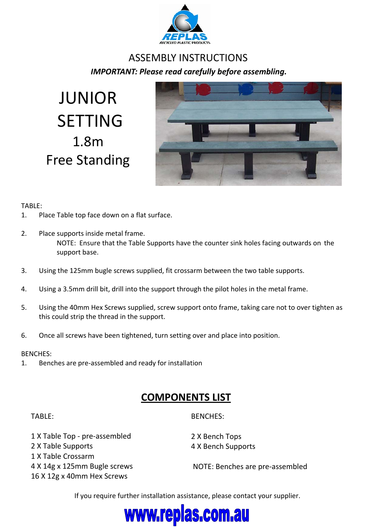

## ASSEMBLY INSTRUCTIONS *IMPORTANT: Please read carefully before assembling.*

JUNIOR SETTING 1.8m Free Standing



### TABLE:

- 1. Place Table top face down on a flat surface.
- 2. Place supports inside metal frame. NOTE: Ensure that the Table Supports have the counter sink holes facing outwards on the support base.
- 3. Using the 125mm bugle screws supplied, fit crossarm between the two table supports.
- 4. Using a 3.5mm drill bit, drill into the support through the pilot holes in the metal frame.
- 5. Using the 40mm Hex Screws supplied, screw support onto frame, taking care not to over tighten as this could strip the thread in the support.
- 6. Once all screws have been tightened, turn setting over and place into position.

#### BENCHES:

1. Benches are pre‐assembled and ready for installation

## **COMPONENTS LIST**

#### TABLE:

BENCHES:

 X Table Top ‐ pre‐assembled X Table Supports X Table Crossarm X 14g x 125mm Bugle screws X 12g x 40mm Hex Screws

2 X Bench Tops 4 X Bench Supports

NOTE: Benches are pre‐assembled

If you require further installation assistance, please contact your supplier.

# www.replas.com.au